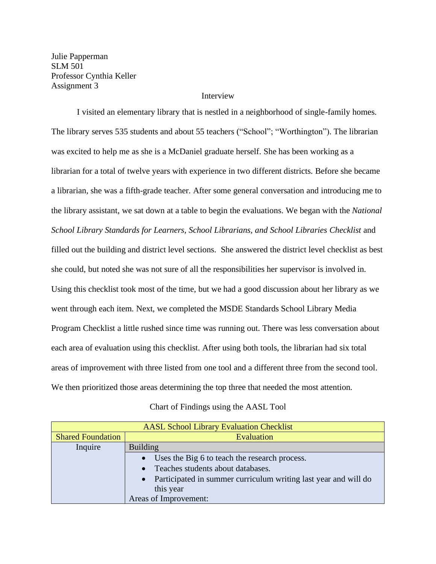Julie Papperman SLM 501 Professor Cynthia Keller Assignment 3

#### Interview

I visited an elementary library that is nestled in a neighborhood of single-family homes. The library serves 535 students and about 55 teachers ("School"; "Worthington"). The librarian was excited to help me as she is a McDaniel graduate herself. She has been working as a librarian for a total of twelve years with experience in two different districts. Before she became a librarian, she was a fifth-grade teacher. After some general conversation and introducing me to the library assistant, we sat down at a table to begin the evaluations. We began with the *National School Library Standards for Learners, School Librarians, and School Libraries Checklist* and filled out the building and district level sections. She answered the district level checklist as best she could, but noted she was not sure of all the responsibilities her supervisor is involved in. Using this checklist took most of the time, but we had a good discussion about her library as we went through each item. Next, we completed the MSDE Standards School Library Media Program Checklist a little rushed since time was running out. There was less conversation about each area of evaluation using this checklist. After using both tools, the librarian had six total areas of improvement with three listed from one tool and a different three from the second tool. We then prioritized those areas determining the top three that needed the most attention.

## Chart of Findings using the AASL Tool

| <b>AASL School Library Evaluation Checklist</b> |                                                                 |  |  |  |  |
|-------------------------------------------------|-----------------------------------------------------------------|--|--|--|--|
| <b>Shared Foundation</b>                        | Evaluation                                                      |  |  |  |  |
| Inquire                                         | <b>Building</b>                                                 |  |  |  |  |
|                                                 | Uses the Big 6 to teach the research process.<br>$\bullet$      |  |  |  |  |
|                                                 | Teaches students about databases.<br>$\bullet$                  |  |  |  |  |
|                                                 | Participated in summer curriculum writing last year and will do |  |  |  |  |
|                                                 | this year                                                       |  |  |  |  |
|                                                 | Areas of Improvement:                                           |  |  |  |  |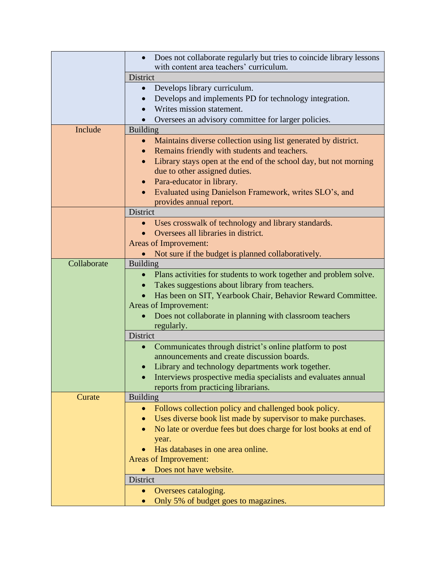| Does not collaborate regularly but tries to coincide library lessons<br>with content area teachers' curriculum.<br>District |  |
|-----------------------------------------------------------------------------------------------------------------------------|--|
|                                                                                                                             |  |
|                                                                                                                             |  |
| Develops library curriculum.                                                                                                |  |
| Develops and implements PD for technology integration.                                                                      |  |
| Writes mission statement.                                                                                                   |  |
| Oversees an advisory committee for larger policies.                                                                         |  |
| Include<br><b>Building</b>                                                                                                  |  |
| Maintains diverse collection using list generated by district.                                                              |  |
| Remains friendly with students and teachers.                                                                                |  |
| Library stays open at the end of the school day, but not morning<br>$\bullet$                                               |  |
| due to other assigned duties.                                                                                               |  |
| Para-educator in library.                                                                                                   |  |
| Evaluated using Danielson Framework, writes SLO's, and                                                                      |  |
| provides annual report.                                                                                                     |  |
| District                                                                                                                    |  |
| Uses crosswalk of technology and library standards.                                                                         |  |
| Oversees all libraries in district.                                                                                         |  |
| Areas of Improvement:                                                                                                       |  |
|                                                                                                                             |  |
|                                                                                                                             |  |
| Not sure if the budget is planned collaboratively.<br>$\bullet$                                                             |  |
| Collaborate<br><b>Building</b>                                                                                              |  |
| Plans activities for students to work together and problem solve.<br>$\bullet$                                              |  |
| Takes suggestions about library from teachers.                                                                              |  |
| Has been on SIT, Yearbook Chair, Behavior Reward Committee.                                                                 |  |
| Areas of Improvement:                                                                                                       |  |
| Does not collaborate in planning with classroom teachers                                                                    |  |
| regularly.                                                                                                                  |  |
| District                                                                                                                    |  |
| Communicates through district's online platform to post<br>$\bullet$                                                        |  |
| announcements and create discussion boards.                                                                                 |  |
| Library and technology departments work together.                                                                           |  |
| Interviews prospective media specialists and evaluates annual<br>$\bullet$                                                  |  |
| reports from practicing librarians.                                                                                         |  |
| <b>Building</b><br>Curate<br>$\bullet$                                                                                      |  |
| Follows collection policy and challenged book policy.                                                                       |  |
| Uses diverse book list made by supervisor to make purchases.                                                                |  |
| No late or overdue fees but does charge for lost books at end of                                                            |  |
| year.                                                                                                                       |  |
| Has databases in one area online.                                                                                           |  |
| <b>Areas of Improvement:</b>                                                                                                |  |
| Does not have website.<br>District                                                                                          |  |
| Oversees cataloging.                                                                                                        |  |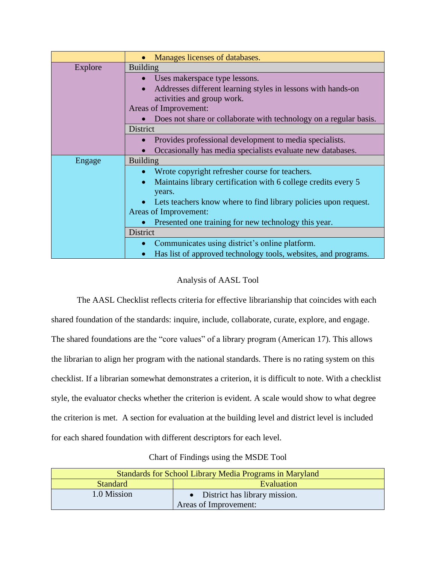|         | Manages licenses of databases.                                    |  |  |
|---------|-------------------------------------------------------------------|--|--|
| Explore | <b>Building</b>                                                   |  |  |
|         | Uses makerspace type lessons.                                     |  |  |
|         | Addresses different learning styles in lessons with hands-on      |  |  |
|         | activities and group work.                                        |  |  |
|         | Areas of Improvement:                                             |  |  |
|         | Does not share or collaborate with technology on a regular basis. |  |  |
|         | District                                                          |  |  |
|         | Provides professional development to media specialists.           |  |  |
|         | Occasionally has media specialists evaluate new databases.        |  |  |
| Engage  | <b>Building</b>                                                   |  |  |
|         | Wrote copyright refresher course for teachers.                    |  |  |
|         | Maintains library certification with 6 college credits every 5    |  |  |
|         | years.                                                            |  |  |
|         | Lets teachers know where to find library policies upon request.   |  |  |
|         | Areas of Improvement:                                             |  |  |
|         | Presented one training for new technology this year.              |  |  |
|         | <b>District</b>                                                   |  |  |
|         | Communicates using district's online platform.                    |  |  |
|         | Has list of approved technology tools, websites, and programs.    |  |  |

# Analysis of AASL Tool

The AASL Checklist reflects criteria for effective librarianship that coincides with each shared foundation of the standards: inquire, include, collaborate, curate, explore, and engage. The shared foundations are the "core values" of a library program (American 17). This allows the librarian to align her program with the national standards. There is no rating system on this checklist. If a librarian somewhat demonstrates a criterion, it is difficult to note. With a checklist style, the evaluator checks whether the criterion is evident. A scale would show to what degree the criterion is met. A section for evaluation at the building level and district level is included for each shared foundation with different descriptors for each level.

|  | Chart of Findings using the MSDE Tool |
|--|---------------------------------------|
|  |                                       |

| Standards for School Library Media Programs in Maryland |  |  |  |
|---------------------------------------------------------|--|--|--|
| Evaluation<br><b>Standard</b>                           |  |  |  |
| 1.0 Mission<br>• District has library mission.          |  |  |  |
| Areas of Improvement:                                   |  |  |  |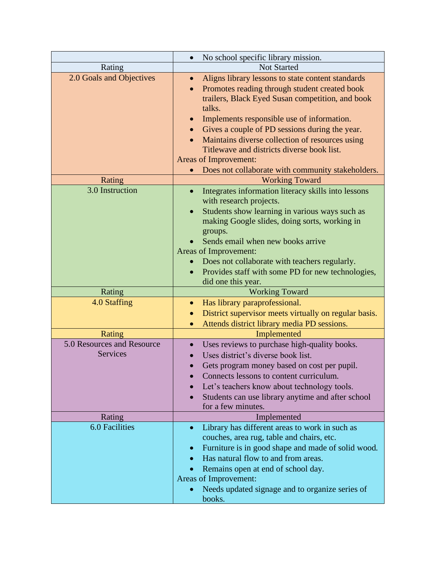| No school specific library mission.<br>$\bullet$                                                |  |
|-------------------------------------------------------------------------------------------------|--|
| <b>Not Started</b>                                                                              |  |
| Aligns library lessons to state content standards                                               |  |
| Promotes reading through student created book                                                   |  |
| trailers, Black Eyed Susan competition, and book                                                |  |
|                                                                                                 |  |
| Implements responsible use of information.                                                      |  |
| Gives a couple of PD sessions during the year.                                                  |  |
| Maintains diverse collection of resources using                                                 |  |
|                                                                                                 |  |
|                                                                                                 |  |
| Does not collaborate with community stakeholders.                                               |  |
|                                                                                                 |  |
| Integrates information literacy skills into lessons                                             |  |
|                                                                                                 |  |
| Students show learning in various ways such as<br>making Google slides, doing sorts, working in |  |
|                                                                                                 |  |
|                                                                                                 |  |
|                                                                                                 |  |
| Does not collaborate with teachers regularly.                                                   |  |
|                                                                                                 |  |
| Provides staff with some PD for new technologies,<br>$\bullet$<br>did one this year.            |  |
| <b>Working Toward</b>                                                                           |  |
|                                                                                                 |  |
| District supervisor meets virtually on regular basis.                                           |  |
| Attends district library media PD sessions.                                                     |  |
| Implemented                                                                                     |  |
| Uses reviews to purchase high-quality books.                                                    |  |
|                                                                                                 |  |
| Gets program money based on cost per pupil.                                                     |  |
|                                                                                                 |  |
|                                                                                                 |  |
| Let's teachers know about technology tools.                                                     |  |
| Students can use library anytime and after school                                               |  |
|                                                                                                 |  |
|                                                                                                 |  |
| Library has different areas to work in such as                                                  |  |
|                                                                                                 |  |
| Furniture is in good shape and made of solid wood.                                              |  |
|                                                                                                 |  |
|                                                                                                 |  |
| Needs updated signage and to organize series of                                                 |  |
|                                                                                                 |  |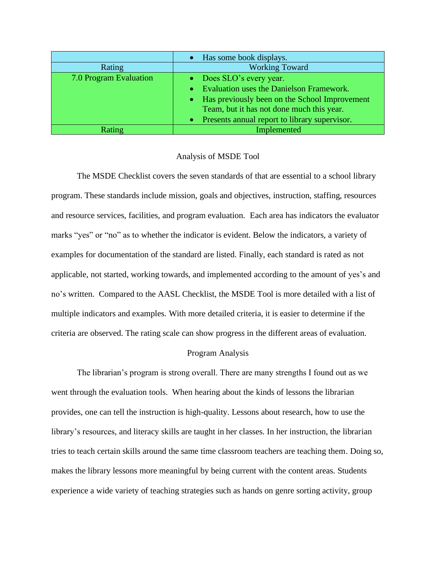|                        | • Has some book displays.                       |
|------------------------|-------------------------------------------------|
| Rating                 | <b>Working Toward</b>                           |
| 7.0 Program Evaluation | • Does SLO's every year.                        |
|                        | • Evaluation uses the Danielson Framework.      |
|                        | • Has previously been on the School Improvement |
|                        | Team, but it has not done much this year.       |
|                        | • Presents annual report to library supervisor. |
| Rating                 | Implemented                                     |

#### Analysis of MSDE Tool

The MSDE Checklist covers the seven standards of that are essential to a school library program. These standards include mission, goals and objectives, instruction, staffing, resources and resource services, facilities, and program evaluation. Each area has indicators the evaluator marks "yes" or "no" as to whether the indicator is evident. Below the indicators, a variety of examples for documentation of the standard are listed. Finally, each standard is rated as not applicable, not started, working towards, and implemented according to the amount of yes's and no's written. Compared to the AASL Checklist, the MSDE Tool is more detailed with a list of multiple indicators and examples. With more detailed criteria, it is easier to determine if the criteria are observed. The rating scale can show progress in the different areas of evaluation.

## Program Analysis

The librarian's program is strong overall. There are many strengths I found out as we went through the evaluation tools. When hearing about the kinds of lessons the librarian provides, one can tell the instruction is high-quality. Lessons about research, how to use the library's resources, and literacy skills are taught in her classes. In her instruction, the librarian tries to teach certain skills around the same time classroom teachers are teaching them. Doing so, makes the library lessons more meaningful by being current with the content areas. Students experience a wide variety of teaching strategies such as hands on genre sorting activity, group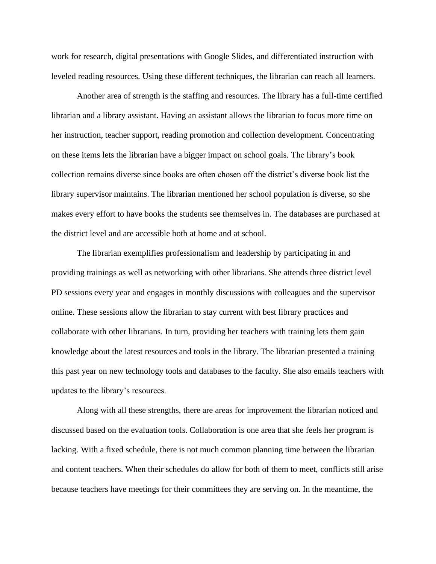work for research, digital presentations with Google Slides, and differentiated instruction with leveled reading resources. Using these different techniques, the librarian can reach all learners.

Another area of strength is the staffing and resources. The library has a full-time certified librarian and a library assistant. Having an assistant allows the librarian to focus more time on her instruction, teacher support, reading promotion and collection development. Concentrating on these items lets the librarian have a bigger impact on school goals. The library's book collection remains diverse since books are often chosen off the district's diverse book list the library supervisor maintains. The librarian mentioned her school population is diverse, so she makes every effort to have books the students see themselves in. The databases are purchased at the district level and are accessible both at home and at school.

The librarian exemplifies professionalism and leadership by participating in and providing trainings as well as networking with other librarians. She attends three district level PD sessions every year and engages in monthly discussions with colleagues and the supervisor online. These sessions allow the librarian to stay current with best library practices and collaborate with other librarians. In turn, providing her teachers with training lets them gain knowledge about the latest resources and tools in the library. The librarian presented a training this past year on new technology tools and databases to the faculty. She also emails teachers with updates to the library's resources.

Along with all these strengths, there are areas for improvement the librarian noticed and discussed based on the evaluation tools. Collaboration is one area that she feels her program is lacking. With a fixed schedule, there is not much common planning time between the librarian and content teachers. When their schedules do allow for both of them to meet, conflicts still arise because teachers have meetings for their committees they are serving on. In the meantime, the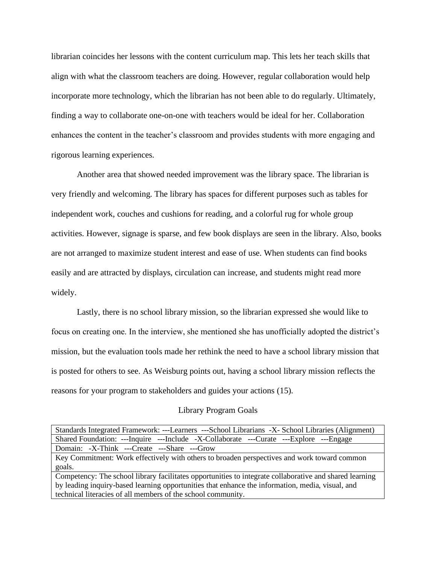librarian coincides her lessons with the content curriculum map. This lets her teach skills that align with what the classroom teachers are doing. However, regular collaboration would help incorporate more technology, which the librarian has not been able to do regularly. Ultimately, finding a way to collaborate one-on-one with teachers would be ideal for her. Collaboration enhances the content in the teacher's classroom and provides students with more engaging and rigorous learning experiences.

Another area that showed needed improvement was the library space. The librarian is very friendly and welcoming. The library has spaces for different purposes such as tables for independent work, couches and cushions for reading, and a colorful rug for whole group activities. However, signage is sparse, and few book displays are seen in the library. Also, books are not arranged to maximize student interest and ease of use. When students can find books easily and are attracted by displays, circulation can increase, and students might read more widely.

Lastly, there is no school library mission, so the librarian expressed she would like to focus on creating one. In the interview, she mentioned she has unofficially adopted the district's mission, but the evaluation tools made her rethink the need to have a school library mission that is posted for others to see. As Weisburg points out, having a school library mission reflects the reasons for your program to stakeholders and guides your actions (15).

#### Library Program Goals

| Standards Integrated Framework: ---Learners ---School Librarians -X- School Libraries (Alignment)       |
|---------------------------------------------------------------------------------------------------------|
| Shared Foundation: ---Inquire ---Include -X-Collaborate ---Curate ---Explore ---Engage                  |
| Domain: -X-Think ---Create ---Share ---Grow                                                             |
| Key Commitment: Work effectively with others to broaden perspectives and work toward common             |
| goals.                                                                                                  |
| Competency: The school library facilitates opportunities to integrate collaborative and shared learning |
| by leading inquiry-based learning opportunities that enhance the information, media, visual, and        |
| technical literacies of all members of the school community.                                            |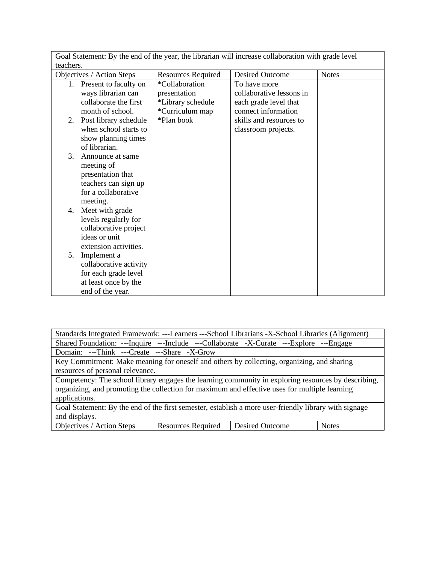| Goal Statement: By the end of the year, the librarian will increase collaboration with grade level |                           |                          |              |  |
|----------------------------------------------------------------------------------------------------|---------------------------|--------------------------|--------------|--|
| teachers.                                                                                          |                           |                          |              |  |
| Objectives / Action Steps                                                                          | <b>Resources Required</b> | <b>Desired Outcome</b>   | <b>Notes</b> |  |
| Present to faculty on<br>1.                                                                        | *Collaboration            | To have more             |              |  |
| ways librarian can                                                                                 | presentation              | collaborative lessons in |              |  |
| collaborate the first                                                                              | *Library schedule         | each grade level that    |              |  |
| month of school.                                                                                   | *Curriculum map           | connect information      |              |  |
| Post library schedule<br>2.                                                                        | *Plan book                | skills and resources to  |              |  |
| when school starts to                                                                              |                           | classroom projects.      |              |  |
| show planning times                                                                                |                           |                          |              |  |
| of librarian.                                                                                      |                           |                          |              |  |
| 3.<br>Announce at same                                                                             |                           |                          |              |  |
| meeting of                                                                                         |                           |                          |              |  |
| presentation that                                                                                  |                           |                          |              |  |
| teachers can sign up                                                                               |                           |                          |              |  |
| for a collaborative                                                                                |                           |                          |              |  |
| meeting.                                                                                           |                           |                          |              |  |
| Meet with grade<br>4.                                                                              |                           |                          |              |  |
| levels regularly for                                                                               |                           |                          |              |  |
| collaborative project                                                                              |                           |                          |              |  |
| ideas or unit                                                                                      |                           |                          |              |  |
| extension activities.                                                                              |                           |                          |              |  |
| Implement a<br>5.                                                                                  |                           |                          |              |  |
| collaborative activity                                                                             |                           |                          |              |  |
| for each grade level                                                                               |                           |                          |              |  |
| at least once by the                                                                               |                           |                          |              |  |
| end of the year.                                                                                   |                           |                          |              |  |

| Standards Integrated Framework: ---Learners ---School Librarians -X-School Libraries (Alignment)      |                           |                        |              |  |
|-------------------------------------------------------------------------------------------------------|---------------------------|------------------------|--------------|--|
| Shared Foundation: ---Inquire ---Include ---Collaborate -X-Curate ---Explore ---Engage                |                           |                        |              |  |
| Domain: ---Think ---Create ---Share -X-Grow                                                           |                           |                        |              |  |
| Key Commitment: Make meaning for oneself and others by collecting, organizing, and sharing            |                           |                        |              |  |
| resources of personal relevance.                                                                      |                           |                        |              |  |
| Competency: The school library engages the learning community in exploring resources by describing,   |                           |                        |              |  |
| organizing, and promoting the collection for maximum and effective uses for multiple learning         |                           |                        |              |  |
| applications.                                                                                         |                           |                        |              |  |
| Goal Statement: By the end of the first semester, establish a more user-friendly library with signage |                           |                        |              |  |
| and displays.                                                                                         |                           |                        |              |  |
| Objectives / Action Steps                                                                             | <b>Resources Required</b> | <b>Desired Outcome</b> | <b>Notes</b> |  |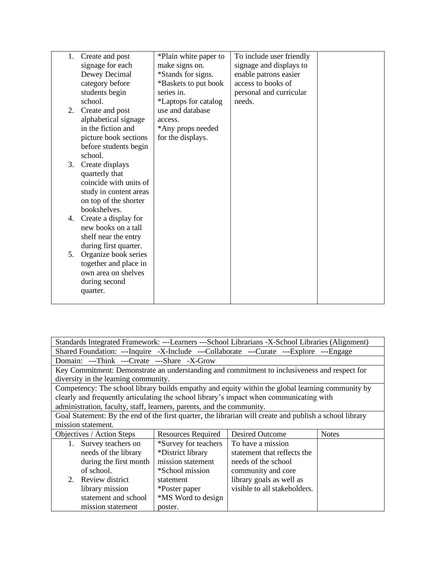| 1. | Create and post        | *Plain white paper to | To include user friendly |  |
|----|------------------------|-----------------------|--------------------------|--|
|    | signage for each       | make signs on.        | signage and displays to  |  |
|    | Dewey Decimal          | *Stands for signs.    | enable patrons easier    |  |
|    | category before        | *Baskets to put book  | access to books of       |  |
|    | students begin         | series in.            | personal and curricular  |  |
|    | school.                | *Laptops for catalog  | needs.                   |  |
| 2. | Create and post        | use and database      |                          |  |
|    | alphabetical signage   | access.               |                          |  |
|    | in the fiction and     | *Any props needed     |                          |  |
|    | picture book sections  | for the displays.     |                          |  |
|    | before students begin  |                       |                          |  |
|    | school.                |                       |                          |  |
| 3. | Create displays        |                       |                          |  |
|    | quarterly that         |                       |                          |  |
|    | coincide with units of |                       |                          |  |
|    | study in content areas |                       |                          |  |
|    | on top of the shorter  |                       |                          |  |
|    | bookshelves.           |                       |                          |  |
| 4. | Create a display for   |                       |                          |  |
|    | new books on a tall    |                       |                          |  |
|    | shelf near the entry   |                       |                          |  |
|    | during first quarter.  |                       |                          |  |
| 5. | Organize book series   |                       |                          |  |
|    | together and place in  |                       |                          |  |
|    | own area on shelves    |                       |                          |  |
|    | during second          |                       |                          |  |
|    | quarter.               |                       |                          |  |
|    |                        |                       |                          |  |

| Standards Integrated Framework: ---Learners ---School Librarians -X-School Libraries (Alignment)        |                                                                     |                              |  |  |  |
|---------------------------------------------------------------------------------------------------------|---------------------------------------------------------------------|------------------------------|--|--|--|
| Shared Foundation: ---Inquire -X-Include ---Collaborate ---Curate ---Explore ---Engage                  |                                                                     |                              |  |  |  |
| Domain: ---Think ---Create ---Share -X-Grow                                                             |                                                                     |                              |  |  |  |
| Key Commitment: Demonstrate an understanding and commitment to inclusiveness and respect for            |                                                                     |                              |  |  |  |
| diversity in the learning community.                                                                    |                                                                     |                              |  |  |  |
| Competency: The school library builds empathy and equity within the global learning community by        |                                                                     |                              |  |  |  |
| clearly and frequently articulating the school library's impact when communicating with                 |                                                                     |                              |  |  |  |
| administration, faculty, staff, learners, parents, and the community.                                   |                                                                     |                              |  |  |  |
| Goal Statement: By the end of the first quarter, the librarian will create and publish a school library |                                                                     |                              |  |  |  |
| mission statement.                                                                                      |                                                                     |                              |  |  |  |
| Objectives / Action Steps                                                                               | <b>Desired Outcome</b><br><b>Resources Required</b><br><b>Notes</b> |                              |  |  |  |
| 1. Survey teachers on                                                                                   | *Survey for teachers                                                | To have a mission            |  |  |  |
| needs of the library                                                                                    | *District library                                                   | statement that reflects the  |  |  |  |
| during the first month                                                                                  | mission statement<br>needs of the school                            |                              |  |  |  |
| of school.<br>*School mission<br>community and core                                                     |                                                                     |                              |  |  |  |
| 2. Review district                                                                                      | library goals as well as<br>statement                               |                              |  |  |  |
| library mission                                                                                         | *Poster paper                                                       | visible to all stakeholders. |  |  |  |
| statement and school                                                                                    | *MS Word to design                                                  |                              |  |  |  |
| mission statement                                                                                       | poster.                                                             |                              |  |  |  |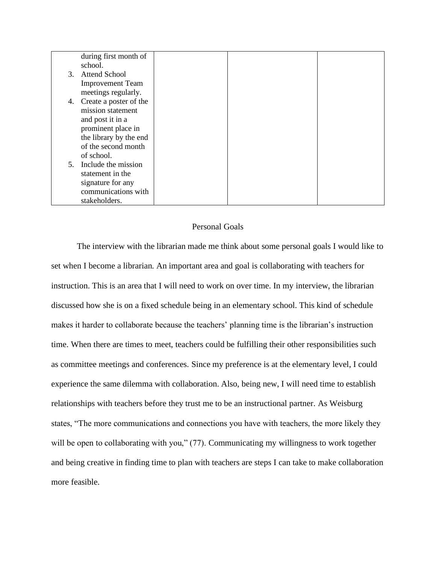|    | during first month of     |  |  |
|----|---------------------------|--|--|
|    | school.                   |  |  |
|    | 3. Attend School          |  |  |
|    | <b>Improvement Team</b>   |  |  |
|    | meetings regularly.       |  |  |
|    | 4. Create a poster of the |  |  |
|    | mission statement         |  |  |
|    | and post it in a          |  |  |
|    | prominent place in        |  |  |
|    | the library by the end    |  |  |
|    | of the second month       |  |  |
|    | of school.                |  |  |
| 5. | Include the mission       |  |  |
|    | statement in the          |  |  |
|    | signature for any         |  |  |
|    | communications with       |  |  |
|    | stakeholders.             |  |  |

## Personal Goals

The interview with the librarian made me think about some personal goals I would like to set when I become a librarian. An important area and goal is collaborating with teachers for instruction. This is an area that I will need to work on over time. In my interview, the librarian discussed how she is on a fixed schedule being in an elementary school. This kind of schedule makes it harder to collaborate because the teachers' planning time is the librarian's instruction time. When there are times to meet, teachers could be fulfilling their other responsibilities such as committee meetings and conferences. Since my preference is at the elementary level, I could experience the same dilemma with collaboration. Also, being new, I will need time to establish relationships with teachers before they trust me to be an instructional partner. As Weisburg states, "The more communications and connections you have with teachers, the more likely they will be open to collaborating with you," (77). Communicating my willingness to work together and being creative in finding time to plan with teachers are steps I can take to make collaboration more feasible.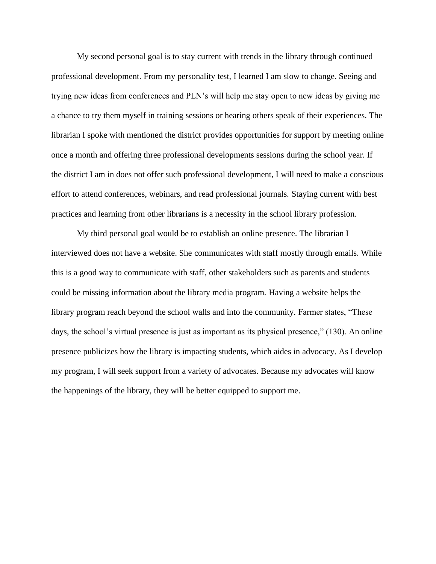My second personal goal is to stay current with trends in the library through continued professional development. From my personality test, I learned I am slow to change. Seeing and trying new ideas from conferences and PLN's will help me stay open to new ideas by giving me a chance to try them myself in training sessions or hearing others speak of their experiences. The librarian I spoke with mentioned the district provides opportunities for support by meeting online once a month and offering three professional developments sessions during the school year. If the district I am in does not offer such professional development, I will need to make a conscious effort to attend conferences, webinars, and read professional journals. Staying current with best practices and learning from other librarians is a necessity in the school library profession.

My third personal goal would be to establish an online presence. The librarian I interviewed does not have a website. She communicates with staff mostly through emails. While this is a good way to communicate with staff, other stakeholders such as parents and students could be missing information about the library media program. Having a website helps the library program reach beyond the school walls and into the community. Farmer states, "These days, the school's virtual presence is just as important as its physical presence," (130). An online presence publicizes how the library is impacting students, which aides in advocacy. As I develop my program, I will seek support from a variety of advocates. Because my advocates will know the happenings of the library, they will be better equipped to support me.